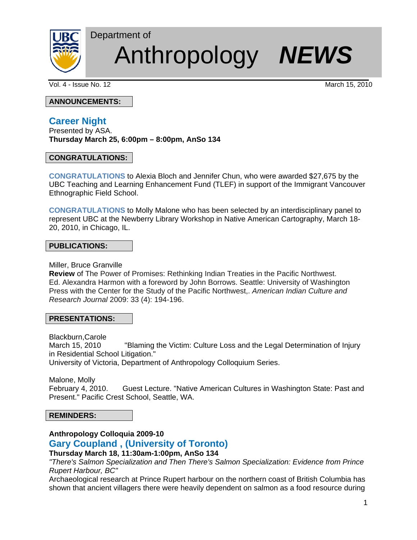

# Anthropology *NEWS*

Vol. 4 - Issue No. 12 March 15, 2010

**ANNOUNCEMENTS:**

# **Career Night**

Presented by ASA. **Thursday March 25, 6:00pm – 8:00pm, AnSo 134** 

Department of

## **CONGRATULATIONS:**

**CONGRATULATIONS** to Alexia Bloch and Jennifer Chun, who were awarded \$27,675 by the UBC Teaching and Learning Enhancement Fund (TLEF) in support of the Immigrant Vancouver Ethnographic Field School.

**CONGRATULATIONS** to Molly Malone who has been selected by an interdisciplinary panel to represent UBC at the Newberry Library Workshop in Native American Cartography, March 18- 20, 2010, in Chicago, IL.

## **PUBLICATIONS:**

Miller, Bruce Granville

**Review** of The Power of Promises: Rethinking Indian Treaties in the Pacific Northwest. Ed. Alexandra Harmon with a foreword by John Borrows. Seattle: University of Washington Press with the Center for the Study of the Pacific Northwest,. *American Indian Culture and Research Journal* 2009: 33 (4): 194-196.

## **PRESENTATIONS:**

Blackburn,Carole March 15, 2010 "Blaming the Victim: Culture Loss and the Legal Determination of Injury in Residential School Litigation." University of Victoria, Department of Anthropology Colloquium Series.

Malone, Molly February 4, 2010. Guest Lecture. "Native American Cultures in Washington State: Past and Present." Pacific Crest School, Seattle, WA.

## **REMINDERS:**

## **Anthropology Colloquia 2009-10**

## **Gary Coupland , (University of Toronto)**

## **Thursday March 18, 11:30am-1:00pm, AnSo 134**

*"There's Salmon Specialization and Then There's Salmon Specialization: Evidence from Prince Rupert Harbour, BC"*

Archaeological research at Prince Rupert harbour on the northern coast of British Columbia has shown that ancient villagers there were heavily dependent on salmon as a food resource during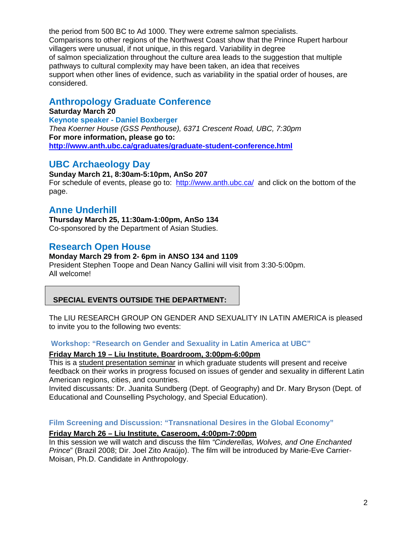the period from 500 BC to Ad 1000. They were extreme salmon specialists. Comparisons to other regions of the Northwest Coast show that the Prince Rupert harbour villagers were unusual, if not unique, in this regard. Variability in degree of salmon specialization throughout the culture area leads to the suggestion that multiple pathways to cultural complexity may have been taken, an idea that receives support when other lines of evidence, such as variability in the spatial order of houses, are considered.

# **Anthropology Graduate Conference**

**Saturday March 20 Keynote speaker - Daniel Boxberger** *Thea Koerner House (GSS Penthouse), 6371 Crescent Road, UBC, 7:30pm* **For more information, please go to: http://www.anth.ubc.ca/graduates/graduate-student-conference.html** 

# **UBC Archaeology Day**

**Sunday March 21, 8:30am-5:10pm, AnSo 207**  For schedule of events, please go to:http://www.anth.ubc.ca/ and click on the bottom of the page.

# **Anne Underhill**

**Thursday March 25, 11:30am-1:00pm, AnSo 134**  Co-sponsored by the Department of Asian Studies.

## **Research Open House**

## **Monday March 29 from 2- 6pm in ANSO 134 and 1109**

President Stephen Toope and Dean Nancy Gallini will visit from 3:30-5:00pm. All welcome!

## **SPECIAL EVENTS OUTSIDE THE DEPARTMENT:**

The LIU RESEARCH GROUP ON GENDER AND SEXUALITY IN LATIN AMERICA is pleased to invite you to the following two events:

## **Workshop: "Research on Gender and Sexuality in Latin America at UBC"**

## **Friday March 19 – Liu Institute, Boardroom, 3:00pm-6:00pm**

This is a student presentation seminar in which graduate students will present and receive feedback on their works in progress focused on issues of gender and sexuality in different Latin American regions, cities, and countries.

Invited discussants: Dr. Juanita Sundberg (Dept. of Geography) and Dr. Mary Bryson (Dept. of Educational and Counselling Psychology, and Special Education).

## **Film Screening and Discussion: "Transnational Desires in the Global Economy"**

## **Friday March 26 – Liu Institute, Caseroom, 4:00pm-7:00pm**

In this session we will watch and discuss the film *"Cinderellas, Wolves, and One Enchanted Prince*" (Brazil 2008; Dir. Joel Zito Araújo). The film will be introduced by Marie-Eve Carrier-Moisan, Ph.D. Candidate in Anthropology.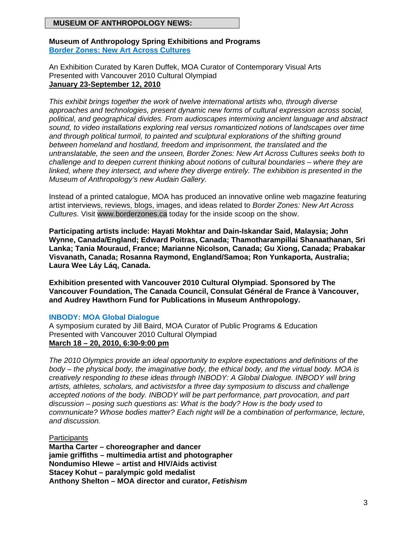## **MUSEUM OF ANTHROPOLOGY NEWS:**

#### **Museum of Anthropology Spring Exhibitions and Programs Border Zones: New Art Across Cultures**

An Exhibition Curated by Karen Duffek, MOA Curator of Contemporary Visual Arts Presented with Vancouver 2010 Cultural Olympiad **January 23-September 12, 2010**

*This exhibit brings together the work of twelve international artists who, through diverse approaches and technologies, present dynamic new forms of cultural expression across social, political, and geographical divides. From audioscapes intermixing ancient language and abstract sound, to video installations exploring real versus romanticized notions of landscapes over time and through political turmoil, to painted and sculptural explorations of the shifting ground between homeland and hostland, freedom and imprisonment, the translated and the untranslatable, the seen and the unseen, Border Zones: New Art Across Cultures seeks both to challenge and to deepen current thinking about notions of cultural boundaries – where they are linked, where they intersect, and where they diverge entirely. The exhibition is presented in the Museum of Anthropology's new Audain Gallery.* 

Instead of a printed catalogue, MOA has produced an innovative online web magazine featuring artist interviews, reviews, blogs, images, and ideas related to *Border Zones: New Art Across Cultures*. Visit www.borderzones.ca today for the inside scoop on the show.

**Participating artists include: Hayati Mokhtar and Dain-Iskandar Said, Malaysia; John Wynne, Canada/England; Edward Poitras, Canada; Thamotharampillai Shanaathanan, Sri Lanka; Tania Mouraud, France; Marianne Nicolson, Canada; Gu Xiong, Canada; Prabakar Visvanath, Canada; Rosanna Raymond, England/Samoa; Ron Yunkaporta, Australia; Laura Wee Láy Láq, Canada.** 

**Exhibition presented with Vancouver 2010 Cultural Olympiad. Sponsored by The Vancouver Foundation, The Canada Council, Consulat Général de France à Vancouver, and Audrey Hawthorn Fund for Publications in Museum Anthropology.** 

## **INBODY: MOA Global Dialogue**

A symposium curated by Jill Baird, MOA Curator of Public Programs & Education Presented with Vancouver 2010 Cultural Olympiad **March 18 – 20, 2010, 6:30-9:00 pm** 

*The 2010 Olympics provide an ideal opportunity to explore expectations and definitions of the body – the physical body, the imaginative body, the ethical body, and the virtual body. MOA is creatively responding to these ideas through INBODY: A Global Dialogue. INBODY will bring artists, athletes, scholars, and activistsfor a three day symposium to discuss and challenge accepted notions of the body. INBODY will be part performance, part provocation, and part discussion – posing such questions as: What is the body? How is the body used to communicate? Whose bodies matter? Each night will be a combination of performance, lecture, and discussion.* 

**Participants Martha Carter – choreographer and dancer jamie griffiths – multimedia artist and photographer Nondumiso Hlewe – artist and HIV/Aids activist Stacey Kohut – paralympic gold medalist Anthony Shelton – MOA director and curator,** *Fetishism*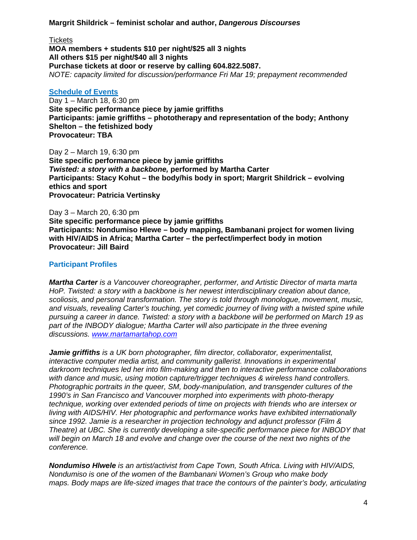#### **Margrit Shildrick – feminist scholar and author,** *Dangerous Discourses*

**Tickets** 

**MOA members + students \$10 per night/\$25 all 3 nights All others \$15 per night/\$40 all 3 nights Purchase tickets at door or reserve by calling 604.822.5087.**  *NOTE: capacity limited for discussion/performance Fri Mar 19; prepayment recommended*

#### **Schedule of Events**

Day 1 – March 18, 6:30 pm **Site specific performance piece by jamie griffiths Participants: jamie griffiths – phototherapy and representation of the body; Anthony Shelton – the fetishized body Provocateur: TBA** 

Day 2 – March 19, 6:30 pm **Site specific performance piece by jamie griffiths**  *Twisted: a story with a backbone,* **performed by Martha Carter Participants: Stacy Kohut – the body/his body in sport; Margrit Shildrick – evolving ethics and sport Provocateur: Patricia Vertinsky** 

Day 3 – March 20, 6:30 pm

**Site specific performance piece by jamie griffiths Participants: Nondumiso Hlewe – body mapping, Bambanani project for women living with HIV/AIDS in Africa; Martha Carter – the perfect/imperfect body in motion Provocateur: Jill Baird** 

## **Participant Profiles**

*Martha Carter is a Vancouver choreographer, performer, and Artistic Director of marta marta HoP. Twisted: a story with a backbone is her newest interdisciplinary creation about dance, scoliosis, and personal transformation. The story is told through monologue, movement, music, and visuals, revealing Carter's touching, yet comedic journey of living with a twisted spine while pursuing a career in dance. Twisted: a story with a backbone will be performed on March 19 as part of the INBODY dialogue; Martha Carter will also participate in the three evening discussions. www.martamartahop.com*

*Jamie griffiths is a UK born photographer, film director, collaborator, experimentalist, interactive computer media artist, and community gallerist. Innovations in experimental darkroom techniques led her into film-making and then to interactive performance collaborations with dance and music, using motion capture/trigger techniques & wireless hand controllers. Photographic portraits in the queer, SM, body-manipulation, and transgender cultures of the 1990's in San Francisco and Vancouver morphed into experiments with photo-therapy technique, working over extended periods of time on projects with friends who are intersex or living with AIDS/HIV. Her photographic and performance works have exhibited internationally since 1992. Jamie is a researcher in projection technology and adjunct professor (Film & Theatre) at UBC. She is currently developing a site-specific performance piece for INBODY that will begin on March 18 and evolve and change over the course of the next two nights of the conference.* 

*Nondumiso Hlwele is an artist/activist from Cape Town, South Africa. Living with HIV/AIDS, Nondumiso is one of the women of the Bambanani Women's Group who make body maps. Body maps are life-sized images that trace the contours of the painter's body, articulating*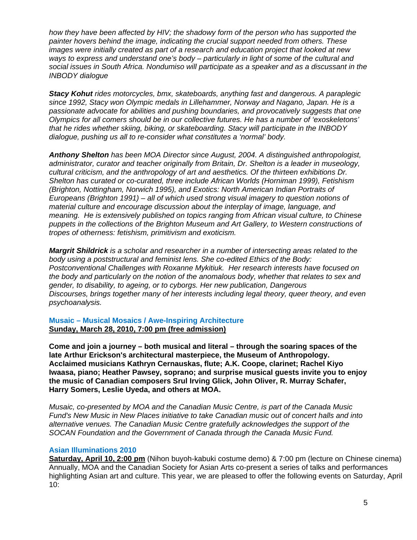*how they have been affected by HIV; the shadowy form of the person who has supported the painter hovers behind the image, indicating the crucial support needed from others. These images were initially created as part of a research and education project that looked at new ways to express and understand one's body – particularly in light of some of the cultural and social issues in South Africa. Nondumiso will participate as a speaker and as a discussant in the INBODY dialogue* 

*Stacy Kohut rides motorcycles, bmx, skateboards, anything fast and dangerous. A paraplegic since 1992, Stacy won Olympic medals in Lillehammer, Norway and Nagano, Japan. He is a passionate advocate for abilities and pushing boundaries, and provocatively suggests that one Olympics for all comers should be in our collective futures. He has a number of 'exoskeletons' that he rides whether skiing, biking, or skateboarding. Stacy will participate in the INBODY dialogue, pushing us all to re-consider what constitutes a 'normal' body.* 

*Anthony Shelton has been MOA Director since August, 2004. A distinguished anthropologist, administrator, curator and teacher originally from Britain, Dr. Shelton is a leader in museology, cultural criticism, and the anthropology of art and aesthetics. Of the thirteen exhibitions Dr. Shelton has curated or co-curated, three include African Worlds (Horniman 1999), Fetishism (Brighton, Nottingham, Norwich 1995), and Exotics: North American Indian Portraits of Europeans (Brighton 1991) – all of which used strong visual imagery to question notions of material culture and encourage discussion about the interplay of image, language, and meaning. He is extensively published on topics ranging from African visual culture, to Chinese puppets in the collections of the Brighton Museum and Art Gallery, to Western constructions of tropes of otherness: fetishism, primitivism and exoticism.* 

*Margrit Shildrick is a scholar and researcher in a number of intersecting areas related to the body using a poststructural and feminist lens. She co-edited Ethics of the Body: Postconventional Challenges with Roxanne Mykitiuk. Her research interests have focused on the body and particularly on the notion of the anomalous body, whether that relates to sex and gender, to disability, to ageing, or to cyborgs. Her new publication, Dangerous Discourses, brings together many of her interests including legal theory, queer theory, and even psychoanalysis.* 

**Musaic – Musical Mosaics / Awe-Inspiring Architecture Sunday, March 28, 2010, 7:00 pm (free admission)**

**Come and join a journey – both musical and literal – through the soaring spaces of the late Arthur Erickson's architectural masterpiece, the Museum of Anthropology. Acclaimed musicians Kathryn Cernauskas, flute; A.K. Coope, clarinet; Rachel Kiyo Iwaasa, piano; Heather Pawsey, soprano; and surprise musical guests invite you to enjoy the music of Canadian composers Srul Irving Glick, John Oliver, R. Murray Schafer, Harry Somers, Leslie Uyeda, and others at MOA.** 

*Musaic, co-presented by MOA and the Canadian Music Centre, is part of the Canada Music Fund's New Music in New Places initiative to take Canadian music out of concert halls and into alternative venues. The Canadian Music Centre gratefully acknowledges the support of the SOCAN Foundation and the Government of Canada through the Canada Music Fund.* 

#### **Asian Illuminations 2010**

**Saturday, April 10, 2:00 pm** (Nihon buyoh-kabuki costume demo) & 7:00 pm (lecture on Chinese cinema) Annually, MOA and the Canadian Society for Asian Arts co-present a series of talks and performances highlighting Asian art and culture. This year, we are pleased to offer the following events on Saturday, April 10: